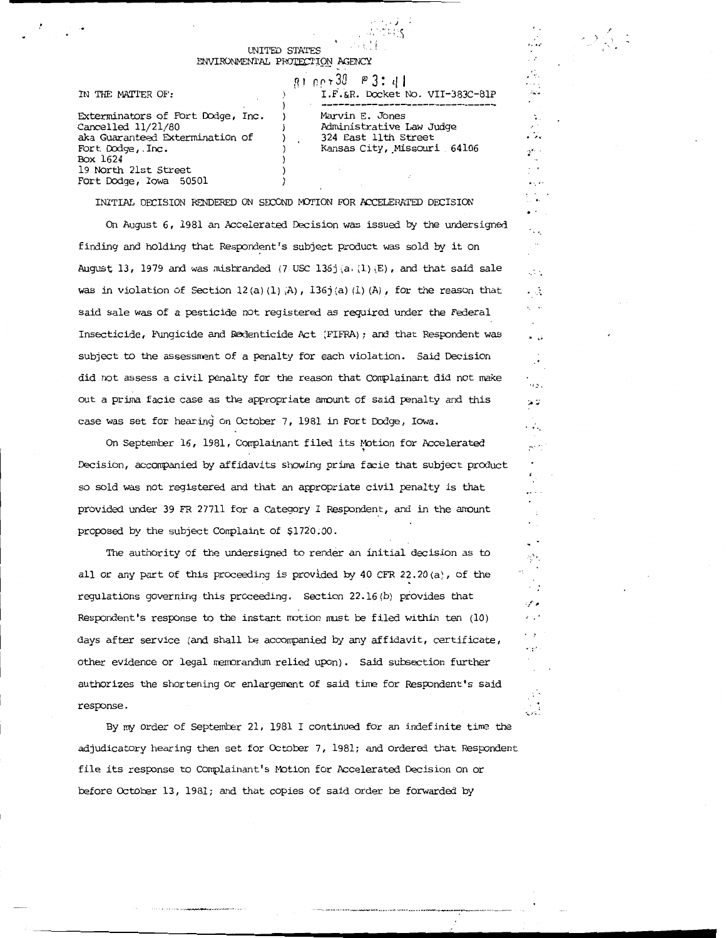#### UNITED STATES ENVIRONMENTAL PROTECTION AGENCY

IN THE MATTER OF:

# 81 net 30 P 3: 41 I.F.&R. Docket No. VII-383C-81P

Exterminators of Fort Dodge, Inc. Cancelled 11/21/80 aka Guaranteed Extermination of Fort Dodge, . Inc. Box 1624 19 North 21st Street Fort Dodge, Iowa 50501

Marvin E. Jones Administrative Law Judge 324 East 11th Street Kansas City, Missouri 64106

. .... *i* 

 $\mathbb{R}^{n-1}$  $\bullet$  5, 62

 $\mathcal{V}_{\mathrm{c}}$ 

 $\mathbf{r} = \mathbf{r} \mathbf{e}^{\mathbf{r}}$  .

I ,. ) *·)* 

·•.

 $\sim 10$  $\sim$ K.

 $\bullet$ 

· '

 $\alpha_{2,1}$ تونز

نرح

 $\sim$  .

. . .  $\cdot$ 

 $\ddot{\phantom{0}}$ ŞŊ.  $\cdot$  $\mathbb{Z}_2$ والإد  $\sim$   $\sim$ 

 $\cdot$  , ,

 $\cdot$  .

mar i

*·.:..* .• -~

 $\mathcal{N}^{\mathcal{S}}$ 

• . ' J •. . ' , . ·: : :. cl

INITIAL DECISION RENDERED ON SECOND MOTION FOR ACCELERATED DECISION

-

On August 6, 1981 an Accelerated Decision was issued by the undersigned finding and holding that Respondent's subject product was sold by it on August 13, 1979 and was misbranded (7 USC 136j  $(a, (1)$   $(E)$ , and that said sale was in violation of Section 12(a)(1)  $\langle A \rangle$ , 136j(a)(1)(A), for the reason that said sale was of a pesticide not registered as required under the Federal Insecticide, Fungicide and Redenticide Act (FIFRA); and that Respondent was subject to the assessment of a penalty for each violation. Said Decision did not assess a civil penalty for the reason that Complainant did not make out a prima facie case as the appropriate amount of said penalty and this case was set for hearing on October 7, 1981 in Fort Dodge, Iowa.

On September 16, 1981, Complainant filed its Motion for Accelerated Decision, accompanied by affidavits showing prima facie that subject prOduct so sold was not registered and that an appropriate civil penalty is that provided under 39 FR 277ll for a Category I Respondent, and in the amount proposed by the subject Complaint of \$1720; 00.

The authority of the undersigned to render an initial decision as to all or any part of this proceeding is provided by 40 CFR 22.20 (a), of the regulations governing this proceeding. Section 22.16 (b) provides that Respondent's response to the instant notion nust be filed within ten (10) days after service (and shall be acconpanied by any affidavit, certificate, other evidence or legal nenorandum relied upon). Said subsection further authorizes the shortening or enlargement of said tine for Respondent's said response.

By my order of September 21, 1981 I continued for an indefinite time the adjudicatory hearing then set for October 7, 1981; and ordered that Respondent file its response to Complainant's Motion for Accelerated Decision on or before October 13, 1981; and that copies of said order be forwarded by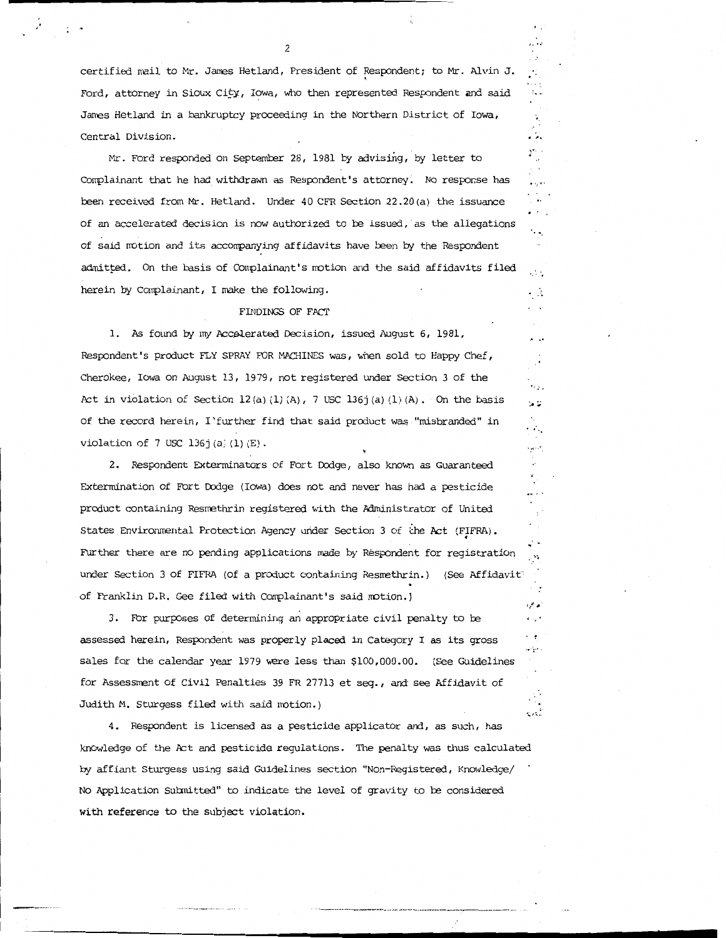certified mail to Mr. James Hetland, President of Respondent; to Mr. Alvin J. ' Ford, attorney in Sioux City, Iowa, who then represented Respondent and said James Hetland in a bankruptcy proceeding in the Northern District of Iowa, Central Division.

*, ...* '

, .. *i* 

i, a  $\star \infty$ 

 $\mathcal{L}_{\mathbf{z}}$ 

 $\zeta$  $\mathcal{L}_{\mathcal{A}}$ 

··.

 $\sim$  $\cdot$   $\cdot$ 

. •

 $\bullet$  is a ta di

 $\mathcal{L}_{\mathcal{L}_{\mathcal{L}}}$  $\mathbf{A}$  ,  $\mathbf{C}$ 

. . .

 $\mathcal{P}_{\mathcal{C}}$ 

. <sup>~</sup>  $\cdot\cdot\cdot$ 

,. •.;, .. .-.. ..

Mr. Ford responded on September 28, 1981 by advising, by letter to Conplainant that he had withdrawn as Respondent's attorney. No response has been received from Mr. Hetland. Under 40 CFR Section 22.20(a) the issuance of an accele rated decision is now authorized to be issued, as the allegations of said motion and its accompanying affidavits have been by the Respondent admitted. On the basis of Complainant's motion and the said affidavits filed herein by Conplainant, I make the following.

### FINDINGS OF FACT

1. As found by my Accelerated Decision, issued August 6, 1981, Respondent's product FLY SPRAY FOR MACHINES was, when sold to Happy Chef, Cherokee, Iowa on August 13, 1979, not registered under Section 3 of the Act in violation of Section  $12(a) (1) (A)$ , 7 USC  $136j(a) (1) (A)$ . On the basis of the record herein, !'further find that said product was "misbranded" in violation of 7 USC 136j(a) $(1)$  $(E)$ .

2. Respondent Exterminators of Fort Dodge, also known as Guaranteed Extermination of Fort Dodge (Iowa) does not and never has had a pesticide product containing Resmethrin registered with the Administrator of United States Environmental Protection Agency under Section 3 of the Act (FIFRA). Further there are no pending applications made by Respondent for registration under Section 3 of FIFRA (Of a product containing Resmethrin.) (See Affidavit' of Franklin D.R. Gee filed with Conplainant's said motion. J

3. For purposes of determining an appropriate civil penalty to be assessed herein, Respondent was properly placed in Category I as its gross sales for the calendar year 1979 were less than \$100,000.00. (see Guidelines for Assessment of Civil Penalties 39 FR 27713 et seq., and· see Affidavit of Judith M. Sturgess filed with said notion.)

4. Respondent is licensed as a pesticide applicator and, as such, has knowledge of the Act and pesticide regulations. The penalty was thus calculated by affiant Sturgess using said Guidelines section "Non-Registered, Knowledge/ No Application Submitted" to indicate the level of gravity to be considered **with** reference to the subject violation.

 $\overline{\phantom{0}}$ 

,·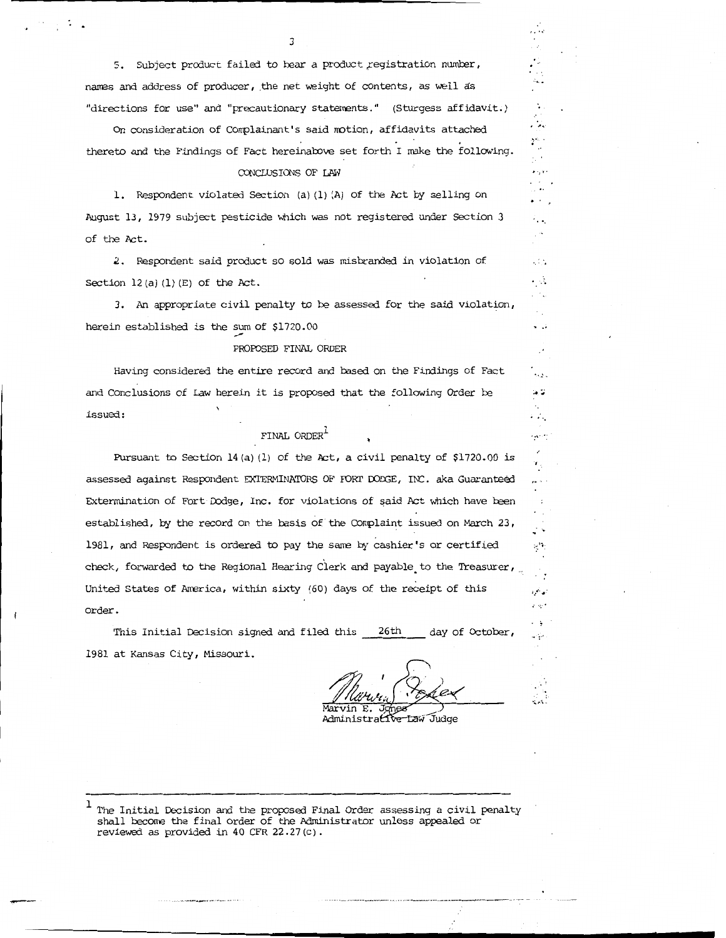5. Subject product failed to bear a product registration number, names and address of producer, the net weight of contents, as well as "directions for use" and "precautionary statements." (Sturgess affidavit.)

3

on consideration of Complainant's said motion, affidavits attached ...<br>On consideration of Complainant's said motion, affidavits attached ... thereto and the Findings of Fact hereinalove set forth I make the following.

#### CONCLUSIONS OF LAW

1. Respondent violated Section (a) (1) (A) of the Act by selling on August 13, 1979 subject pesticide which was not registered under Section 3 of the Act.

2. Respondent said product so sold was misbranded in violation of Section  $12(a) (1) (E)$  of the Act.

3. An appropriate civil penalty to be assessed for the said violation, herein established is the sum of \$1720.00

#### PROPOSED FINAL ORDER

Having considered the entire record and based on the Findings of Fact  $\ddots$ and Conclusions of Law herein it is proposed that the following Order be issued:

## FINAL ORDER $^{\mathrm{l}}$

Pursuant to Section 14 (a) (1) of the Act, a civil penalty of  $$1720.00$  is assessed against Respondent EXTERMINATORS OF FORT DODGE, INC. aka Guaranteed Extermination of Fort Dodge, Inc. for violations of said Act which have been established, by the record on the basis of the Complaint issued on March 23, 1981, and Respondent is ordered to pay the same by cashier's or certified  $\langle$ check, forwarded to the Regional Hearing Clerk and payable to the Treasurer, United States of America, within sixty (60) days of the receipt of this order.

This Initial Decision signed and filed this 26th day of October 1981 at Kansas City, Missouri.

Marvir E.

·

 $\sigma\sim 10^{-11}$  $\sim$ 

it s

 $\mathcal{N}_{\text{c}}$  .

 $\bullet$  is a

 $\sim 1.5$ ÷А . .

 $\mathbf{x} \in \mathbb{R}^2$  $\cdot$ .

≫.

 $\cdot$  . مبرد

. <u>.</u>

 $\ddotsc$ 

والجود  $\omega$   $\approx$ 

·.;. ...... ..

Administrative Law Judge

----------------------------------...

 $1$  The Initial Decision and the proposed Final Order assessing a civil penalty shall become the final order of the Administrator unless appealed or reviewed as provided in 40 CFR 22.27 (c).

-